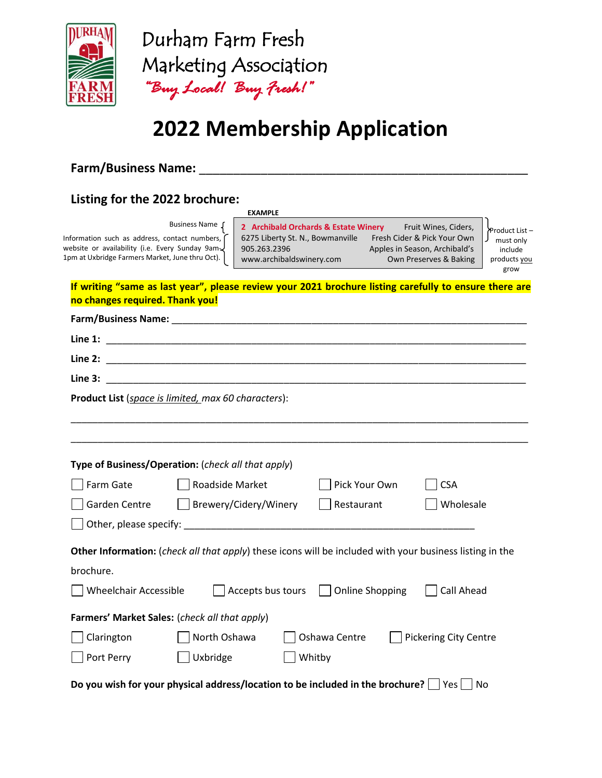

## **2022 Membership Application**

## **Farm/Business Name:** \_\_\_\_\_\_\_\_\_\_\_\_\_\_\_\_\_\_\_\_\_\_\_\_\_\_\_\_\_\_\_\_\_\_\_\_\_\_\_\_\_\_\_\_\_\_\_\_

## **Listing for the 2022 brochure:**

#### **EXAMPLE**

Information such as address, contact numbers, website or availability (i.e. Every Sunday 9am-1pm at Uxbridge Farmers Market, June thru Oct). Business Name  $\int$  2 Archibald Orchards & Estate Winery Fruit Wines, Ciders, 6275 Liberty St. N., Bowmanville Fresh Cider & Pick Your Own 905.263.2396 Apples in Season, Archibald's www.archibaldswinery.com Own Preserves & Baking

Product List – must only include products you grow

**If writing "same as last year", please review your 2021 brochure listing carefully to ensure there are no changes required. Thank you!**

| Line 2:                                                                                                  |                       |                                     |                              |  |  |  |  |  |  |
|----------------------------------------------------------------------------------------------------------|-----------------------|-------------------------------------|------------------------------|--|--|--|--|--|--|
| Line 3:                                                                                                  |                       |                                     |                              |  |  |  |  |  |  |
| Product List (space is limited, max 60 characters):                                                      |                       |                                     |                              |  |  |  |  |  |  |
|                                                                                                          |                       |                                     |                              |  |  |  |  |  |  |
| Type of Business/Operation: (check all that apply)                                                       |                       |                                     |                              |  |  |  |  |  |  |
| Farm Gate                                                                                                | Roadside Market       | Pick Your Own                       | <b>CSA</b>                   |  |  |  |  |  |  |
| Garden Centre                                                                                            | Brewery/Cidery/Winery | Restaurant                          | Wholesale                    |  |  |  |  |  |  |
|                                                                                                          |                       |                                     |                              |  |  |  |  |  |  |
| Other Information: (check all that apply) these icons will be included with your business listing in the |                       |                                     |                              |  |  |  |  |  |  |
| brochure.                                                                                                |                       |                                     |                              |  |  |  |  |  |  |
| <b>Wheelchair Accessible</b>                                                                             |                       | Accepts bus tours   Online Shopping | Call Ahead                   |  |  |  |  |  |  |
| Farmers' Market Sales: (check all that apply)                                                            |                       |                                     |                              |  |  |  |  |  |  |
| Clarington                                                                                               | North Oshawa          | Oshawa Centre                       | <b>Pickering City Centre</b> |  |  |  |  |  |  |
| Port Perry                                                                                               | Uxbridge              | Whitby                              |                              |  |  |  |  |  |  |
| Do you wish for your physical address/location to be included in the brochure? $\Box$ Yes<br>No          |                       |                                     |                              |  |  |  |  |  |  |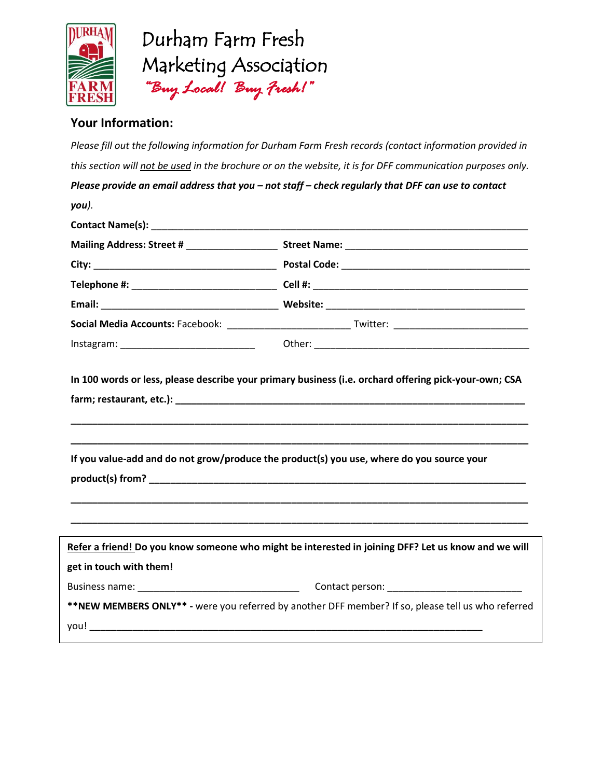

### **Your Information:**

*Please fill out the following information for Durham Farm Fresh records (contact information provided in this section will not be used in the brochure or on the website, it is for DFF communication purposes only. Please provide an email address that you – not staff – check regularly that DFF can use to contact you).* **Contact Name(s):** \_\_\_\_\_\_\_\_\_\_\_\_\_\_\_\_\_\_\_\_\_\_\_\_\_\_\_\_\_\_\_\_\_\_\_\_\_\_\_\_\_\_\_\_\_\_\_\_\_\_\_\_\_\_\_\_\_\_\_\_\_\_\_\_\_\_\_\_\_\_ **Mailing Address: Street # The Street Name: Street Name:**  $\blacksquare$ **City:** \_\_\_\_\_\_\_\_\_\_\_\_\_\_\_\_\_\_\_\_\_\_\_\_\_\_\_\_\_\_\_\_\_\_ **Postal Code:** \_\_\_\_\_\_\_\_\_\_\_\_\_\_\_\_\_\_\_\_\_\_\_\_\_\_\_\_\_\_\_\_\_\_\_ **Telephone #:** \_\_\_\_\_\_\_\_\_\_\_\_\_\_\_\_\_\_\_\_\_\_\_\_\_\_\_ **Cell #:** \_\_\_\_\_\_\_\_\_\_\_\_\_\_\_\_\_\_\_\_\_\_\_\_\_\_\_\_\_\_\_\_\_\_\_\_\_\_\_\_ **Email:** \_\_\_\_\_\_\_\_\_\_\_\_\_\_\_\_\_\_\_\_\_\_\_\_\_\_\_\_\_\_\_\_\_ **Website:** \_\_\_\_\_\_\_\_\_\_\_\_\_\_\_\_\_\_\_\_\_\_\_\_\_\_\_\_\_\_\_\_\_\_\_\_\_ **Social Media Accounts:** Facebook: \_\_\_\_\_\_\_\_\_\_\_\_\_\_\_\_\_\_\_\_\_\_\_ Twitter: \_\_\_\_\_\_\_\_\_\_\_\_\_\_\_\_\_\_\_\_\_\_\_\_\_ Instagram: \_\_\_\_\_\_\_\_\_\_\_\_\_\_\_\_\_\_\_\_\_\_\_\_\_ Other: \_\_\_\_\_\_\_\_\_\_\_\_\_\_\_\_\_\_\_\_\_\_\_\_\_\_\_\_\_\_\_\_\_\_\_\_\_\_\_\_ **In 100 words or less, please describe your primary business (i.e. orchard offering pick-your-own; CSA farm; restaurant, etc.): \_\_\_\_\_\_\_\_\_\_\_\_\_\_\_\_\_\_\_\_\_\_\_\_\_\_\_\_\_\_\_\_\_\_\_\_\_\_\_\_\_\_\_\_\_\_\_\_\_\_\_\_\_\_\_\_\_\_\_\_\_\_\_\_\_ \_\_\_\_\_\_\_\_\_\_\_\_\_\_\_\_\_\_\_\_\_\_\_\_\_\_\_\_\_\_\_\_\_\_\_\_\_\_\_\_\_\_\_\_\_\_\_\_\_\_\_\_\_\_\_\_\_\_\_\_\_\_\_\_\_\_\_\_\_\_\_\_\_\_\_\_\_\_\_\_\_\_\_\_\_ \_\_\_\_\_\_\_\_\_\_\_\_\_\_\_\_\_\_\_\_\_\_\_\_\_\_\_\_\_\_\_\_\_\_\_\_\_\_\_\_\_\_\_\_\_\_\_\_\_\_\_\_\_\_\_\_\_\_\_\_\_\_\_\_\_\_\_\_\_\_\_\_\_\_\_\_\_\_\_\_\_\_\_\_\_ If you value-add and do not grow/produce the product(s) you use, where do you source your product(s) from?** *lease the straight of the straight of the straight of the straight of the straight of the straight of the straight of the straight of the straight of the straight of the straight of the straight of the* **\_\_\_\_\_\_\_\_\_\_\_\_\_\_\_\_\_\_\_\_\_\_\_\_\_\_\_\_\_\_\_\_\_\_\_\_\_\_\_\_\_\_\_\_\_\_\_\_\_\_\_\_\_\_\_\_\_\_\_\_\_\_\_\_\_\_\_\_\_\_\_\_\_\_\_\_\_\_\_\_\_\_\_\_\_ \_\_\_\_\_\_\_\_\_\_\_\_\_\_\_\_\_\_\_\_\_\_\_\_\_\_\_\_\_\_\_\_\_\_\_\_\_\_\_\_\_\_\_\_\_\_\_\_\_\_\_\_\_\_\_\_\_\_\_\_\_\_\_\_\_\_\_\_\_\_\_\_\_\_\_\_\_\_\_\_\_\_\_\_\_ Refer a friend! Do you know someone who might be interested in joining DFF? Let us know and we will get in touch with them!**  Business name: \_\_\_\_\_\_\_\_\_\_\_\_\_\_\_\_\_\_\_\_\_\_\_\_\_\_\_\_\_\_ Contact person: \_\_\_\_\_\_\_\_\_\_\_\_\_\_\_\_\_\_\_\_\_\_\_\_\_ **\*\*NEW MEMBERS ONLY\*\* -** were you referred by another DFF member? If so, please tell us who referred you! **\_\_\_\_\_\_\_\_\_\_\_\_\_\_\_\_\_\_\_\_\_\_\_\_\_\_\_\_\_\_\_\_\_\_\_\_\_\_\_\_\_\_\_\_\_\_\_\_\_\_\_\_\_\_\_\_\_\_\_\_\_\_\_\_\_\_\_\_\_\_\_\_\_**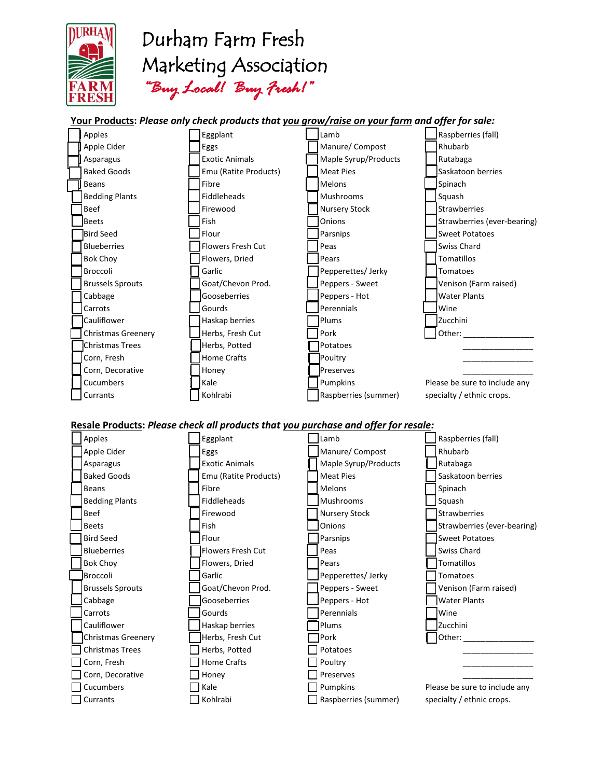

#### **Your Products:** *Please only check products that you grow/raise on your farm and offer for sale:*



#### **Resale Products:** *Please check all products that you purchase and offer for resale:*

| Apples                  | Eggplant              | Lamb                 | Raspberries (fall)            |
|-------------------------|-----------------------|----------------------|-------------------------------|
| Apple Cider             | Eggs                  | Manure/ Compost      | Rhubarb                       |
| Asparagus               | <b>Exotic Animals</b> | Maple Syrup/Products | Rutabaga                      |
| <b>Baked Goods</b>      | Emu (Ratite Products) | <b>Meat Pies</b>     | Saskatoon berries             |
| <b>Beans</b>            | Fibre                 | Melons               | Spinach                       |
| <b>Bedding Plants</b>   | Fiddleheads           | <b>Mushrooms</b>     | Squash                        |
| <b>Beef</b>             | Firewood              | <b>Nursery Stock</b> | Strawberries                  |
| <b>Beets</b>            | Fish                  | Onions               | Strawberries (ever-bearing)   |
| <b>Bird Seed</b>        | Flour                 | Parsnips             | <b>Sweet Potatoes</b>         |
| <b>Blueberries</b>      | Flowers Fresh Cut     | Peas                 | Swiss Chard                   |
| <b>Bok Choy</b>         | Flowers, Dried        | Pears                | Tomatillos                    |
| Broccoli                | Garlic                | Pepperettes/Jerky    | Tomatoes                      |
| <b>Brussels Sprouts</b> | Goat/Chevon Prod.     | Peppers - Sweet      | Venison (Farm raised)         |
| Cabbage                 | Gooseberries          | Peppers - Hot        | <b>Water Plants</b>           |
| Carrots                 | Gourds                | Perennials           | <b>Wine</b>                   |
| Cauliflower             | Haskap berries        | Plums                | Zucchini                      |
| Christmas Greenery      | Herbs, Fresh Cut      | Pork                 | Other:                        |
| <b>Christmas Trees</b>  | Herbs, Potted         | Potatoes             |                               |
| Corn, Fresh             | <b>Home Crafts</b>    | Poultry              |                               |
| Corn, Decorative        | Honey                 | Preserves            |                               |
| Cucumbers               | Kale                  | Pumpkins             | Please be sure to include any |
| Currants                | Kohlrabi              | Raspberries (summer) | specialty / ethnic crops.     |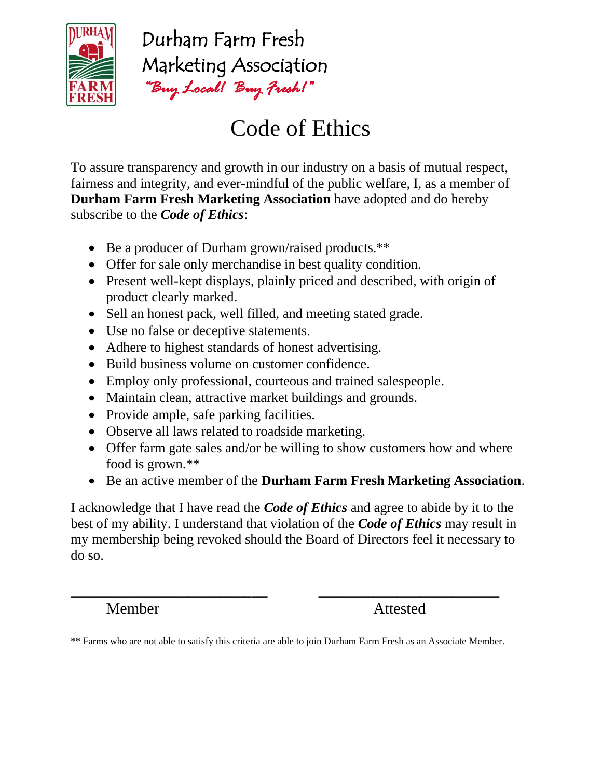

# Code of Ethics

To assure transparency and growth in our industry on a basis of mutual respect, fairness and integrity, and ever-mindful of the public welfare, I, as a member of **Durham Farm Fresh Marketing Association** have adopted and do hereby subscribe to the *Code of Ethics*:

- Be a producer of Durham grown/raised products.\*\*
- Offer for sale only merchandise in best quality condition.
- Present well-kept displays, plainly priced and described, with origin of product clearly marked.
- Sell an honest pack, well filled, and meeting stated grade.
- Use no false or deceptive statements.
- Adhere to highest standards of honest advertising.
- Build business volume on customer confidence.
- Employ only professional, courteous and trained salespeople.
- Maintain clean, attractive market buildings and grounds.
- Provide ample, safe parking facilities.
- Observe all laws related to roadside marketing.
- Offer farm gate sales and/or be willing to show customers how and where food is grown.\*\*
- Be an active member of the **Durham Farm Fresh Marketing Association**.

I acknowledge that I have read the *Code of Ethics* and agree to abide by it to the best of my ability. I understand that violation of the *Code of Ethics* may result in my membership being revoked should the Board of Directors feel it necessary to do so.

Member Attested

\_\_\_\_\_\_\_\_\_\_\_\_\_\_\_\_\_\_\_\_\_\_\_\_\_ \_\_\_\_\_\_\_\_\_\_\_\_\_\_\_\_\_\_\_\_\_\_\_

<sup>\*\*</sup> Farms who are not able to satisfy this criteria are able to join Durham Farm Fresh as an Associate Member.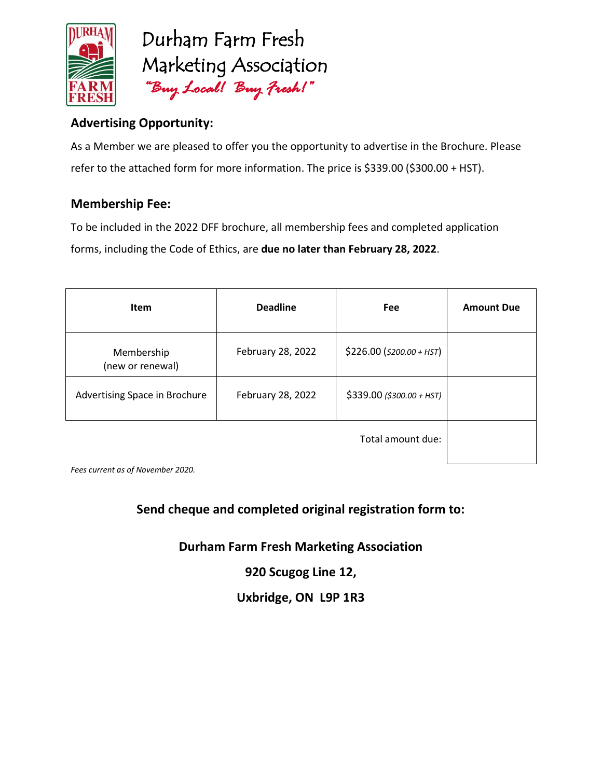

## **Advertising Opportunity:**

As a Member we are pleased to offer you the opportunity to advertise in the Brochure. Please refer to the attached form for more information. The price is \$339.00 (\$300.00 + HST).

### **Membership Fee:**

To be included in the 2022 DFF brochure, all membership fees and completed application forms, including the Code of Ethics, are **due no later than February 28, 2022**.

| <b>Item</b>                    | <b>Deadline</b>   | Fee                        | <b>Amount Due</b> |
|--------------------------------|-------------------|----------------------------|-------------------|
| Membership<br>(new or renewal) | February 28, 2022 | $$226.00 ($200.00 + HST)$  |                   |
| Advertising Space in Brochure  | February 28, 2022 | $$339.00$ (\$300.00 + HST) |                   |
|                                |                   |                            |                   |

*Fees current as of November 2020.*

## **Send cheque and completed original registration form to:**

**Durham Farm Fresh Marketing Association**

**920 Scugog Line 12,**

**Uxbridge, ON L9P 1R3**